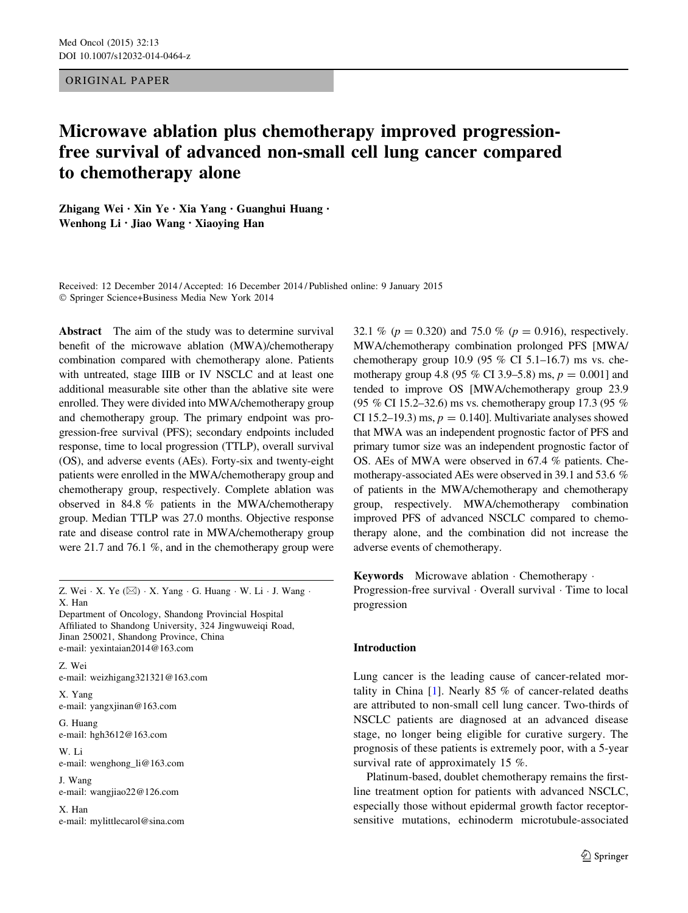ORIGINAL PAPER

# Microwave ablation plus chemotherapy improved progressionfree survival of advanced non-small cell lung cancer compared to chemotherapy alone

Zhigang Wei • Xin Ye • Xia Yang • Guanghui Huang • Wenhong Li • Jiao Wang • Xiaoying Han

Received: 12 December 2014 / Accepted: 16 December 2014 / Published online: 9 January 2015 - Springer Science+Business Media New York 2014

Abstract The aim of the study was to determine survival benefit of the microwave ablation (MWA)/chemotherapy combination compared with chemotherapy alone. Patients with untreated, stage IIIB or IV NSCLC and at least one additional measurable site other than the ablative site were enrolled. They were divided into MWA/chemotherapy group and chemotherapy group. The primary endpoint was progression-free survival (PFS); secondary endpoints included response, time to local progression (TTLP), overall survival (OS), and adverse events (AEs). Forty-six and twenty-eight patients were enrolled in the MWA/chemotherapy group and chemotherapy group, respectively. Complete ablation was observed in 84.8 % patients in the MWA/chemotherapy group. Median TTLP was 27.0 months. Objective response rate and disease control rate in MWA/chemotherapy group were 21.7 and 76.1 %, and in the chemotherapy group were

Z. Wei  $\cdot$  X. Ye ( $\boxtimes$ )  $\cdot$  X. Yang  $\cdot$  G. Huang  $\cdot$  W. Li  $\cdot$  J. Wang  $\cdot$ X. Han

Department of Oncology, Shandong Provincial Hospital Affiliated to Shandong University, 324 Jingwuweiqi Road, Jinan 250021, Shandong Province, China e-mail: yexintaian2014@163.com

Z. Wei e-mail: weizhigang321321@163.com

X. Yang e-mail: yangxjinan@163.com

G. Huang e-mail: hgh3612@163.com

W. Li e-mail: wenghong\_li@163.com

J. Wang e-mail: wangjiao22@126.com

X. Han e-mail: mylittlecarol@sina.com 32.1 % ( $p = 0.320$ ) and 75.0 % ( $p = 0.916$ ), respectively. MWA/chemotherapy combination prolonged PFS [MWA/ chemotherapy group 10.9 (95  $\%$  CI 5.1–16.7) ms vs. chemotherapy group 4.8 (95 % CI 3.9–5.8) ms,  $p = 0.001$  and tended to improve OS [MWA/chemotherapy group 23.9 (95 % CI 15.2–32.6) ms vs. chemotherapy group 17.3 (95 % CI 15.2–19.3) ms,  $p = 0.140$ . Multivariate analyses showed that MWA was an independent prognostic factor of PFS and primary tumor size was an independent prognostic factor of OS. AEs of MWA were observed in 67.4 % patients. Chemotherapy-associated AEs were observed in 39.1 and 53.6 % of patients in the MWA/chemotherapy and chemotherapy group, respectively. MWA/chemotherapy combination improved PFS of advanced NSCLC compared to chemotherapy alone, and the combination did not increase the adverse events of chemotherapy.

Keywords Microwave ablation - Chemotherapy - Progression-free survival  $\cdot$  Overall survival  $\cdot$  Time to local progression

# Introduction

Lung cancer is the leading cause of cancer-related mortality in China [[1\]](#page-6-0). Nearly 85 % of cancer-related deaths are attributed to non-small cell lung cancer. Two-thirds of NSCLC patients are diagnosed at an advanced disease stage, no longer being eligible for curative surgery. The prognosis of these patients is extremely poor, with a 5-year survival rate of approximately 15 %.

Platinum-based, doublet chemotherapy remains the firstline treatment option for patients with advanced NSCLC, especially those without epidermal growth factor receptorsensitive mutations, echinoderm microtubule-associated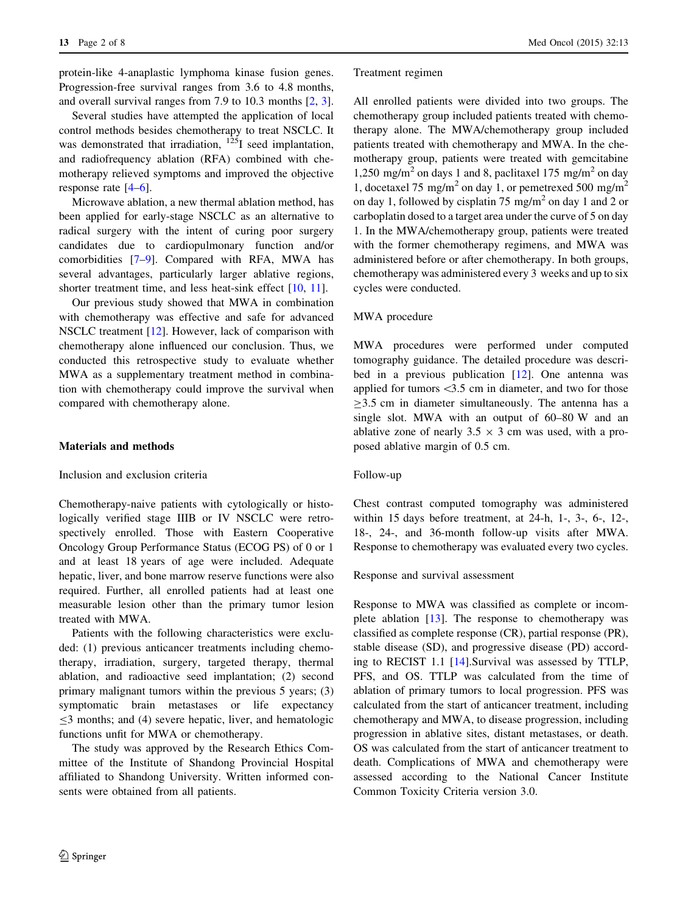protein-like 4-anaplastic lymphoma kinase fusion genes. Progression-free survival ranges from 3.6 to 4.8 months, and overall survival ranges from 7.9 to 10.3 months [[2,](#page-6-0) [3](#page-7-0)].

Several studies have attempted the application of local control methods besides chemotherapy to treat NSCLC. It was demonstrated that irradiation,  $^{125}I$  seed implantation, and radiofrequency ablation (RFA) combined with chemotherapy relieved symptoms and improved the objective response rate [[4–6\]](#page-7-0).

Microwave ablation, a new thermal ablation method, has been applied for early-stage NSCLC as an alternative to radical surgery with the intent of curing poor surgery candidates due to cardiopulmonary function and/or comorbidities [[7–9\]](#page-7-0). Compared with RFA, MWA has several advantages, particularly larger ablative regions, shorter treatment time, and less heat-sink effect [[10,](#page-7-0) [11](#page-7-0)].

Our previous study showed that MWA in combination with chemotherapy was effective and safe for advanced NSCLC treatment [\[12](#page-7-0)]. However, lack of comparison with chemotherapy alone influenced our conclusion. Thus, we conducted this retrospective study to evaluate whether MWA as a supplementary treatment method in combination with chemotherapy could improve the survival when compared with chemotherapy alone.

# Materials and methods

# Inclusion and exclusion criteria

Chemotherapy-naive patients with cytologically or histologically verified stage IIIB or IV NSCLC were retrospectively enrolled. Those with Eastern Cooperative Oncology Group Performance Status (ECOG PS) of 0 or 1 and at least 18 years of age were included. Adequate hepatic, liver, and bone marrow reserve functions were also required. Further, all enrolled patients had at least one measurable lesion other than the primary tumor lesion treated with MWA.

Patients with the following characteristics were excluded: (1) previous anticancer treatments including chemotherapy, irradiation, surgery, targeted therapy, thermal ablation, and radioactive seed implantation; (2) second primary malignant tumors within the previous 5 years; (3) symptomatic brain metastases or life expectancy  $\leq$ 3 months; and (4) severe hepatic, liver, and hematologic functions unfit for MWA or chemotherapy.

The study was approved by the Research Ethics Committee of the Institute of Shandong Provincial Hospital affiliated to Shandong University. Written informed consents were obtained from all patients.

## Treatment regimen

All enrolled patients were divided into two groups. The chemotherapy group included patients treated with chemotherapy alone. The MWA/chemotherapy group included patients treated with chemotherapy and MWA. In the chemotherapy group, patients were treated with gemcitabine 1,250 mg/m<sup>2</sup> on days 1 and 8, paclitaxel 175 mg/m<sup>2</sup> on day 1, docetaxel 75 mg/m<sup>2</sup> on day 1, or pemetrexed 500 mg/m<sup>2</sup> on day 1, followed by cisplatin 75 mg/m2 on day 1 and 2 or carboplatin dosed to a target area under the curve of 5 on day 1. In the MWA/chemotherapy group, patients were treated with the former chemotherapy regimens, and MWA was administered before or after chemotherapy. In both groups, chemotherapy was administered every 3 weeks and up to six cycles were conducted.

## MWA procedure

MWA procedures were performed under computed tomography guidance. The detailed procedure was described in a previous publication [[12\]](#page-7-0). One antenna was applied for tumors  $\langle 3.5 \rangle$  cm in diameter, and two for those  $\geq$ 3.5 cm in diameter simultaneously. The antenna has a single slot. MWA with an output of 60–80 W and an ablative zone of nearly  $3.5 \times 3$  cm was used, with a proposed ablative margin of 0.5 cm.

## Follow-up

Chest contrast computed tomography was administered within 15 days before treatment, at 24-h, 1-, 3-, 6-, 12-, 18-, 24-, and 36-month follow-up visits after MWA. Response to chemotherapy was evaluated every two cycles.

## Response and survival assessment

Response to MWA was classified as complete or incomplete ablation [[13\]](#page-7-0). The response to chemotherapy was classified as complete response (CR), partial response (PR), stable disease (SD), and progressive disease (PD) according to RECIST 1.1 [[14\]](#page-7-0).Survival was assessed by TTLP, PFS, and OS. TTLP was calculated from the time of ablation of primary tumors to local progression. PFS was calculated from the start of anticancer treatment, including chemotherapy and MWA, to disease progression, including progression in ablative sites, distant metastases, or death. OS was calculated from the start of anticancer treatment to death. Complications of MWA and chemotherapy were assessed according to the National Cancer Institute Common Toxicity Criteria version 3.0.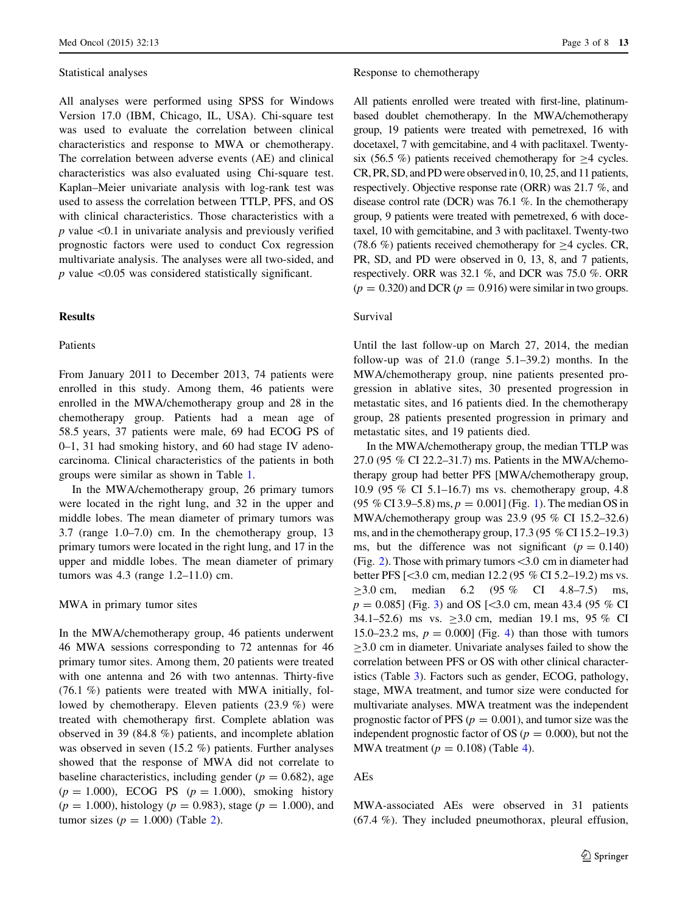# Statistical analyses

All analyses were performed using SPSS for Windows Version 17.0 (IBM, Chicago, IL, USA). Chi-square test was used to evaluate the correlation between clinical characteristics and response to MWA or chemotherapy. The correlation between adverse events (AE) and clinical characteristics was also evaluated using Chi-square test. Kaplan–Meier univariate analysis with log-rank test was used to assess the correlation between TTLP, PFS, and OS with clinical characteristics. Those characteristics with a  $p$  value  $\leq 0.1$  in univariate analysis and previously verified prognostic factors were used to conduct Cox regression multivariate analysis. The analyses were all two-sided, and  $p$  value  $\leq 0.05$  was considered statistically significant.

# **Results**

# Patients

From January 2011 to December 2013, 74 patients were enrolled in this study. Among them, 46 patients were enrolled in the MWA/chemotherapy group and 28 in the chemotherapy group. Patients had a mean age of 58.5 years, 37 patients were male, 69 had ECOG PS of 0–1, 31 had smoking history, and 60 had stage IV adenocarcinoma. Clinical characteristics of the patients in both groups were similar as shown in Table [1.](#page-3-0)

In the MWA/chemotherapy group, 26 primary tumors were located in the right lung, and 32 in the upper and middle lobes. The mean diameter of primary tumors was 3.7 (range 1.0–7.0) cm. In the chemotherapy group, 13 primary tumors were located in the right lung, and 17 in the upper and middle lobes. The mean diameter of primary tumors was 4.3 (range 1.2–11.0) cm.

# MWA in primary tumor sites

In the MWA/chemotherapy group, 46 patients underwent 46 MWA sessions corresponding to 72 antennas for 46 primary tumor sites. Among them, 20 patients were treated with one antenna and 26 with two antennas. Thirty-five (76.1 %) patients were treated with MWA initially, followed by chemotherapy. Eleven patients (23.9 %) were treated with chemotherapy first. Complete ablation was observed in 39 (84.8 %) patients, and incomplete ablation was observed in seven (15.2 %) patients. Further analyses showed that the response of MWA did not correlate to baseline characteristics, including gender ( $p = 0.682$ ), age  $(p = 1.000)$ , ECOG PS  $(p = 1.000)$ , smoking history  $(p = 1.000)$ , histology  $(p = 0.983)$ , stage  $(p = 1.000)$ , and tumor sizes ( $p = 1.000$ ) (Table [2](#page-4-0)).

## Response to chemotherapy

All patients enrolled were treated with first-line, platinumbased doublet chemotherapy. In the MWA/chemotherapy group, 19 patients were treated with pemetrexed, 16 with docetaxel, 7 with gemcitabine, and 4 with paclitaxel. Twentysix (56.5 %) patients received chemotherapy for  $>4$  cycles. CR, PR, SD, and PD were observed in 0, 10, 25, and 11 patients, respectively. Objective response rate (ORR) was 21.7 %, and disease control rate (DCR) was 76.1 %. In the chemotherapy group, 9 patients were treated with pemetrexed, 6 with docetaxel, 10 with gemcitabine, and 3 with paclitaxel. Twenty-two (78.6 %) patients received chemotherapy for  $\geq$  4 cycles. CR, PR, SD, and PD were observed in 0, 13, 8, and 7 patients, respectively. ORR was 32.1 %, and DCR was 75.0 %. ORR  $(p = 0.320)$  and DCR  $(p = 0.916)$  were similar in two groups.

# Survival

Until the last follow-up on March 27, 2014, the median follow-up was of 21.0 (range 5.1–39.2) months. In the MWA/chemotherapy group, nine patients presented progression in ablative sites, 30 presented progression in metastatic sites, and 16 patients died. In the chemotherapy group, 28 patients presented progression in primary and metastatic sites, and 19 patients died.

In the MWA/chemotherapy group, the median TTLP was 27.0 (95 % CI 22.2–31.7) ms. Patients in the MWA/chemotherapy group had better PFS [MWA/chemotherapy group, 10.9 (95 % CI 5.1–16.7) ms vs. chemotherapy group, 4.8  $(95\% \text{ CI } 3.9-5.8) \text{ ms}, p = 0.001$  (Fig. [1\)](#page-4-0). The median OS in MWA/chemotherapy group was 23.9 (95 % CI 15.2–32.6) ms, and in the chemotherapy group,  $17.3$  (95 % CI 15.2–19.3) ms, but the difference was not significant ( $p = 0.140$ ) (Fig. [2\)](#page-4-0). Those with primary tumors  $\leq 3.0$  cm in diameter had better PFS [\3.0 cm, median 12.2 (95 % CI 5.2–19.2) ms vs.  $>3.0$  cm, median 6.2 (95 % CI 4.8–7.5) ms.  $p = 0.085$ ] (Fig. [3](#page-4-0)) and OS [ $\leq 3.0$  cm, mean 43.4 (95 % CI 34.1–52.6) ms vs.  $\geq 3.0$  cm, median 19.1 ms, 95 % CI 15.0–23.2 ms,  $p = 0.000$  (Fig. [4\)](#page-5-0) than those with tumors  $\geq$ 3.0 cm in diameter. Univariate analyses failed to show the correlation between PFS or OS with other clinical characteristics (Table [3](#page-5-0)). Factors such as gender, ECOG, pathology, stage, MWA treatment, and tumor size were conducted for multivariate analyses. MWA treatment was the independent prognostic factor of PFS ( $p = 0.001$ ), and tumor size was the independent prognostic factor of OS ( $p = 0.000$ ), but not the MWA treatment  $(p = 0.108)$  (Table [4](#page-6-0)).

# AEs

MWA-associated AEs were observed in 31 patients (67.4 %). They included pneumothorax, pleural effusion,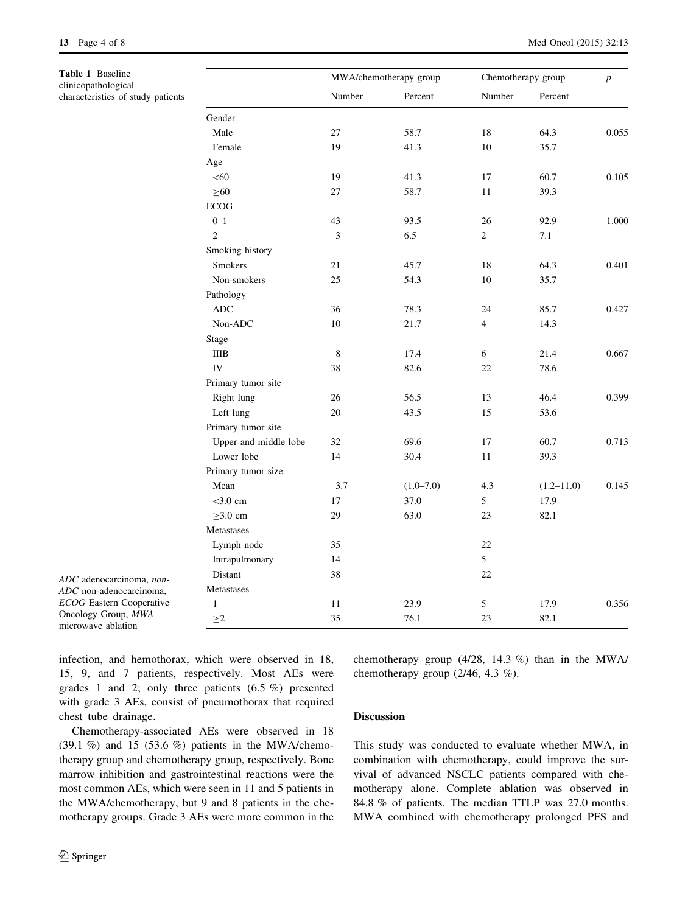<span id="page-3-0"></span>Table 1 Baseline clinicopathological characteristics of study patients

|                       |        | MWA/chemotherapy group | Chemotherapy group | $\boldsymbol{p}$ |       |
|-----------------------|--------|------------------------|--------------------|------------------|-------|
|                       | Number | Percent                | Number             | Percent          |       |
| Gender                |        |                        |                    |                  |       |
| Male                  | 27     | 58.7                   | 18                 | 64.3             | 0.055 |
| Female                | 19     | 41.3                   | 10                 | 35.7             |       |
| Age                   |        |                        |                    |                  |       |
| < 60                  | 19     | 41.3                   | 17                 | 60.7             | 0.105 |
| $\geq 60$             | 27     | 58.7                   | 11                 | 39.3             |       |
| <b>ECOG</b>           |        |                        |                    |                  |       |
| $0 - 1$               | 43     | 93.5                   | 26                 | 92.9             | 1.000 |
| $\overline{2}$        | 3      | 6.5                    | $\overline{2}$     | 7.1              |       |
| Smoking history       |        |                        |                    |                  |       |
| <b>Smokers</b>        | 21     | 45.7                   | 18                 | 64.3             | 0.401 |
| Non-smokers           | 25     | 54.3                   | 10                 | 35.7             |       |
| Pathology             |        |                        |                    |                  |       |
| <b>ADC</b>            | 36     | 78.3                   | 24                 | 85.7             | 0.427 |
| Non-ADC               | 10     | 21.7                   | $\overline{4}$     | 14.3             |       |
| Stage                 |        |                        |                    |                  |       |
| <b>IIIB</b>           | 8      | 17.4                   | 6                  | 21.4             | 0.667 |
| IV                    | 38     | 82.6                   | 22                 | 78.6             |       |
| Primary tumor site    |        |                        |                    |                  |       |
| Right lung            | 26     | 56.5                   | 13                 | 46.4             | 0.399 |
| Left lung             | 20     | 43.5                   | 15                 | 53.6             |       |
| Primary tumor site    |        |                        |                    |                  |       |
| Upper and middle lobe | 32     | 69.6                   | 17                 | 60.7             | 0.713 |
| Lower lobe            | 14     | 30.4                   | 11                 | 39.3             |       |
| Primary tumor size    |        |                        |                    |                  |       |
| Mean                  | 3.7    | $(1.0 - 7.0)$          | 4.3                | $(1.2 - 11.0)$   | 0.145 |
| $<$ 3.0 cm            | 17     | 37.0                   | 5                  | 17.9             |       |
| $\geq$ 3.0 cm         | 29     | 63.0                   | 23                 | 82.1             |       |
| Metastases            |        |                        |                    |                  |       |
| Lymph node            | 35     |                        | 22                 |                  |       |
| Intrapulmonary        | 14     |                        | 5                  |                  |       |
| Distant               | 38     |                        | 22                 |                  |       |
| Metastases            |        |                        |                    |                  |       |
| $\mathbf{1}$          | 11     | 23.9                   | 5                  | 17.9             | 0.356 |
| $\geq$ 2              | 35     | 76.1                   | 23                 | 82.1             |       |

ADC adenocarcinoma, non-ADC non-adenocarcinoma, ECOG Eastern Cooperative Oncology Group, MWA microwave ablation

infection, and hemothorax, which were observed in 18, 15, 9, and 7 patients, respectively. Most AEs were grades 1 and 2; only three patients (6.5 %) presented with grade 3 AEs, consist of pneumothorax that required chest tube drainage.

Chemotherapy-associated AEs were observed in 18  $(39.1\%)$  and 15  $(53.6\%)$  patients in the MWA/chemotherapy group and chemotherapy group, respectively. Bone marrow inhibition and gastrointestinal reactions were the most common AEs, which were seen in 11 and 5 patients in the MWA/chemotherapy, but 9 and 8 patients in the chemotherapy groups. Grade 3 AEs were more common in the chemotherapy group (4/28, 14.3 %) than in the MWA/ chemotherapy group (2/46, 4.3 %).

# Discussion

This study was conducted to evaluate whether MWA, in combination with chemotherapy, could improve the survival of advanced NSCLC patients compared with chemotherapy alone. Complete ablation was observed in 84.8 % of patients. The median TTLP was 27.0 months. MWA combined with chemotherapy prolonged PFS and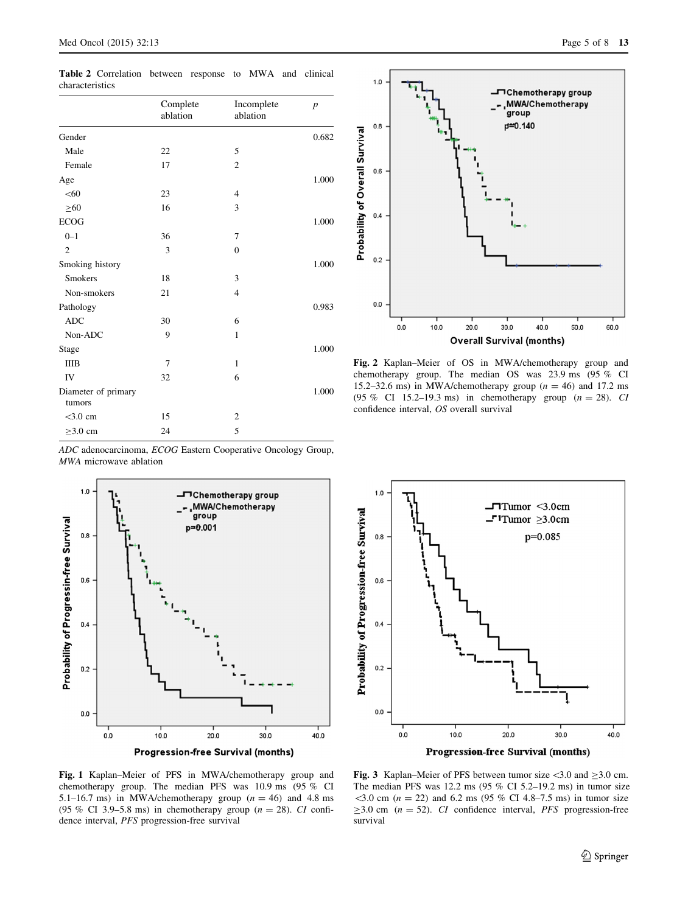<span id="page-4-0"></span>Table 2 Correlation between response to MWA and clinical characteristics

|                               | Complete<br>ablation | Incomplete<br>ablation | $\boldsymbol{p}$ |
|-------------------------------|----------------------|------------------------|------------------|
| Gender                        |                      |                        | 0.682            |
| Male                          | 22                   | 5                      |                  |
| Female                        | 17                   | $\overline{c}$         |                  |
| Age                           |                      |                        | 1.000            |
| < 60                          | 23                   | 4                      |                  |
| $\geq 60$                     | 16                   | 3                      |                  |
| <b>ECOG</b>                   |                      |                        | 1.000            |
| $0 - 1$                       | 36                   | 7                      |                  |
| $\overline{2}$                | 3                    | $\overline{0}$         |                  |
| Smoking history               |                      |                        | 1.000            |
| <b>Smokers</b>                | 18                   | 3                      |                  |
| Non-smokers                   | 21                   | $\overline{4}$         |                  |
| Pathology                     |                      |                        | 0.983            |
| <b>ADC</b>                    | 30                   | 6                      |                  |
| Non-ADC                       | 9                    | $\mathbf{1}$           |                  |
| Stage                         |                      |                        | 1.000            |
| <b>IIIB</b>                   | 7                    | $\mathbf{1}$           |                  |
| IV                            | 32                   | 6                      |                  |
| Diameter of primary<br>tumors |                      |                        | 1.000            |
| $<$ 3.0 cm                    | 15                   | $\overline{c}$         |                  |
| $\geq$ 3.0 cm                 | 24                   | 5                      |                  |

ADC adenocarcinoma, ECOG Eastern Cooperative Oncology Group, MWA microwave ablation







Fig. 2 Kaplan–Meier of OS in MWA/chemotherapy group and chemotherapy group. The median OS was 23.9 ms (95 % CI 15.2–32.6 ms) in MWA/chemotherapy group  $(n = 46)$  and 17.2 ms (95 % CI 15.2–19.3 ms) in chemotherapy group  $(n = 28)$ . CI confidence interval, OS overall survival



Fig. 1 Kaplan–Meier of PFS in MWA/chemotherapy group and chemotherapy group. The median PFS was 10.9 ms (95 % CI 5.1–16.7 ms) in MWA/chemotherapy group  $(n = 46)$  and 4.8 ms (95 % CI 3.9–5.8 ms) in chemotherapy group ( $n = 28$ ). CI confidence interval, PFS progression-free survival

Fig. 3 Kaplan–Meier of PFS between tumor size  $\lt 3.0$  and  $\ge 3.0$  cm. The median PFS was 12.2 ms  $(95\% \text{ CI } 5.2-19.2 \text{ ms})$  in tumor size  $3.0$  cm ( $n = 22$ ) and 6.2 ms (95 % CI 4.8–7.5 ms) in tumor size  $\geq$ 3.0 cm (*n* = 52). CI confidence interval, *PFS* progression-free survival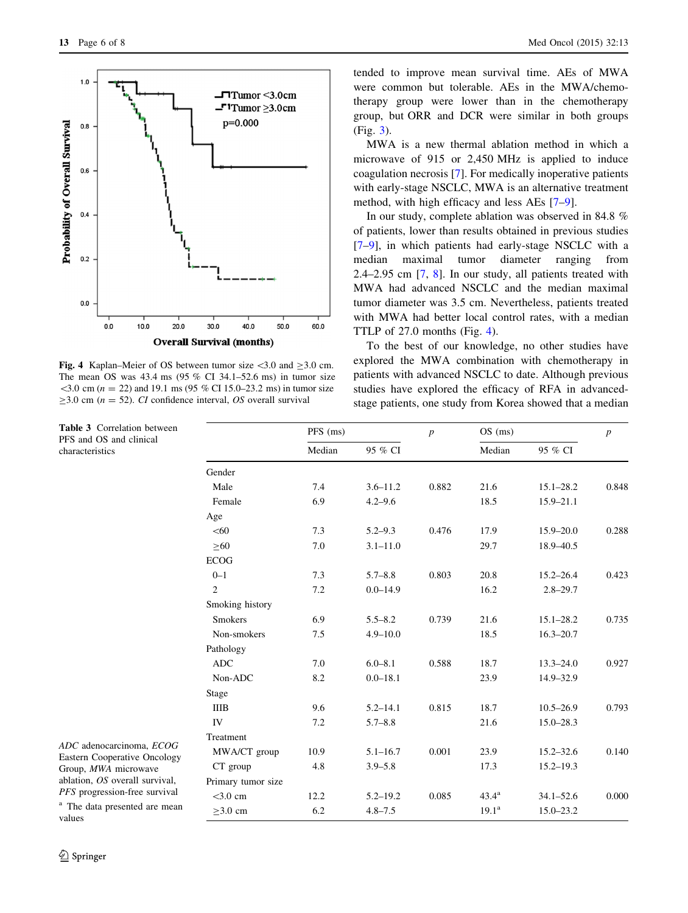<span id="page-5-0"></span>

Fig. 4 Kaplan–Meier of OS between tumor size  $\lt 3.0$  and  $\ge 3.0$  cm. The mean OS was 43.4 ms (95 % CI 34.1–52.6 ms) in tumor size  $\leq$ 3.0 cm (n = 22) and 19.1 ms (95 % CI 15.0–23.2 ms) in tumor size  $\geq$ 3.0 cm (n = 52). CI confidence interval, OS overall survival

Table 3 Correlation between PFS and OS and clinical characteristics

tended to improve mean survival time. AEs of MWA were common but tolerable. AEs in the MWA/chemotherapy group were lower than in the chemotherapy group, but ORR and DCR were similar in both groups (Fig. [3\)](#page-4-0).

MWA is a new thermal ablation method in which a microwave of 915 or 2,450 MHz is applied to induce coagulation necrosis [[7\]](#page-7-0). For medically inoperative patients with early-stage NSCLC, MWA is an alternative treatment method, with high efficacy and less AEs [\[7–9](#page-7-0)].

In our study, complete ablation was observed in 84.8 % of patients, lower than results obtained in previous studies [\[7–9](#page-7-0)], in which patients had early-stage NSCLC with a median maximal tumor diameter ranging from 2.4–2.95 cm [[7,](#page-7-0) [8\]](#page-7-0). In our study, all patients treated with MWA had advanced NSCLC and the median maximal tumor diameter was 3.5 cm. Nevertheless, patients treated with MWA had better local control rates, with a median TTLP of 27.0 months (Fig. 4).

To the best of our knowledge, no other studies have explored the MWA combination with chemotherapy in patients with advanced NSCLC to date. Although previous studies have explored the efficacy of RFA in advancedstage patients, one study from Korea showed that a median

|                    | PFS (ms) |              | $\overline{p}$ | $OS$ (ms)      |               | $\boldsymbol{p}$ |
|--------------------|----------|--------------|----------------|----------------|---------------|------------------|
|                    | Median   | 95 % CI      |                | Median         | 95 % CI       |                  |
| Gender             |          |              |                |                |               |                  |
| Male               | 7.4      | $3.6 - 11.2$ | 0.882          | 21.6           | $15.1 - 28.2$ | 0.848            |
| Female             | 6.9      | $4.2 - 9.6$  |                | 18.5           | $15.9 - 21.1$ |                  |
| Age                |          |              |                |                |               |                  |
| < 60               | 7.3      | $5.2 - 9.3$  | 0.476          | 17.9           | $15.9 - 20.0$ | 0.288            |
| $\geq 60$          | 7.0      | $3.1 - 11.0$ |                | 29.7           | 18.9-40.5     |                  |
| <b>ECOG</b>        |          |              |                |                |               |                  |
| $0 - 1$            | 7.3      | $5.7 - 8.8$  | 0.803          | 20.8           | $15.2 - 26.4$ | 0.423            |
| $\overline{2}$     | 7.2      | $0.0 - 14.9$ |                | 16.2           | $2.8 - 29.7$  |                  |
| Smoking history    |          |              |                |                |               |                  |
| <b>Smokers</b>     | 6.9      | $5.5 - 8.2$  | 0.739          | 21.6           | $15.1 - 28.2$ | 0.735            |
| Non-smokers        | 7.5      | $4.9 - 10.0$ |                | 18.5           | $16.3 - 20.7$ |                  |
| Pathology          |          |              |                |                |               |                  |
| <b>ADC</b>         | 7.0      | $6.0 - 8.1$  | 0.588          | 18.7           | $13.3 - 24.0$ | 0.927            |
| Non-ADC            | 8.2      | $0.0 - 18.1$ |                | 23.9           | 14.9-32.9     |                  |
| Stage              |          |              |                |                |               |                  |
| <b>IIIB</b>        | 9.6      | $5.2 - 14.1$ | 0.815          | 18.7           | $10.5 - 26.9$ | 0.793            |
| <b>IV</b>          | 7.2      | $5.7 - 8.8$  |                | 21.6           | $15.0 - 28.3$ |                  |
| Treatment          |          |              |                |                |               |                  |
| MWA/CT group       | 10.9     | $5.1 - 16.7$ | 0.001          | 23.9           | $15.2 - 32.6$ | 0.140            |
| CT group           | 4.8      | $3.9 - 5.8$  |                | 17.3           | $15.2 - 19.3$ |                  |
| Primary tumor size |          |              |                |                |               |                  |
| $<$ 3.0 cm         | 12.2     | $5.2 - 19.2$ | 0.085          | $43.4^{\rm a}$ | $34.1 - 52.6$ | 0.000            |
| $\geq$ 3.0 cm      | 6.2      | $4.8 - 7.5$  |                | $19.1^a$       | $15.0 - 23.2$ |                  |

ADC adenocarcinoma, ECOG Eastern Cooperative Oncology Group, MWA microwave ablation, OS overall survival, PFS progression-free survival

<sup>a</sup> The data presented are mean values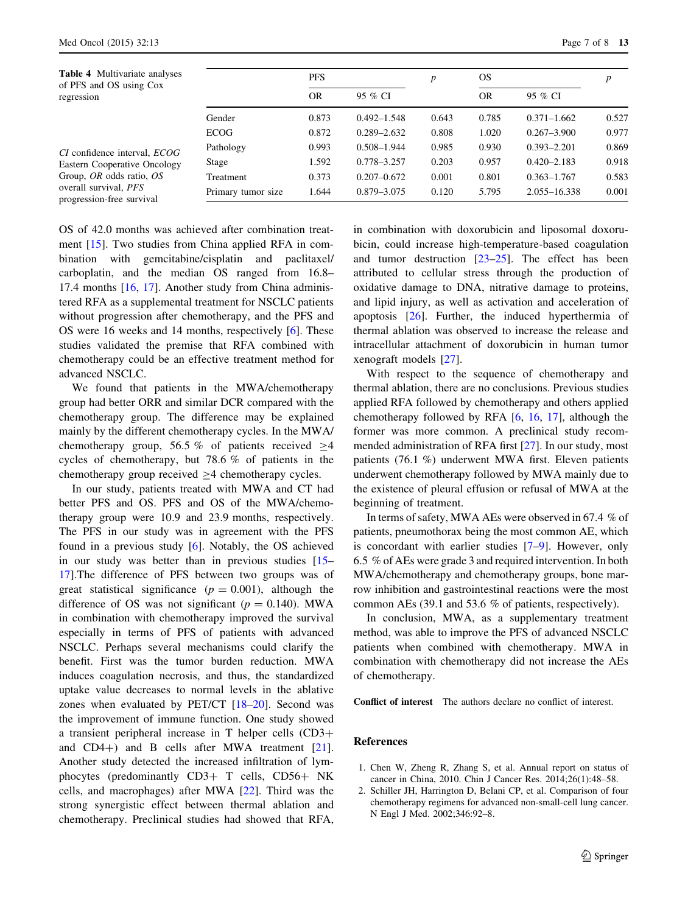<span id="page-6-0"></span>

| <b>Table 4</b> Multivariate analyses<br>of PFS and OS using Cox<br>regression                                                                         |                    | <b>PFS</b> |                 | p     | <b>OS</b> |                 | $\boldsymbol{p}$ |
|-------------------------------------------------------------------------------------------------------------------------------------------------------|--------------------|------------|-----------------|-------|-----------|-----------------|------------------|
|                                                                                                                                                       |                    | <b>OR</b>  | 95 % CI         |       | OR        | 95 % CI         |                  |
|                                                                                                                                                       | Gender             | 0.873      | $0.492 - 1.548$ | 0.643 | 0.785     | $0.371 - 1.662$ | 0.527            |
| CI confidence interval, <i>ECOG</i><br>Eastern Cooperative Oncology<br>Group, OR odds ratio, OS<br>overall survival, PFS<br>progression-free survival | <b>ECOG</b>        | 0.872      | $0.289 - 2.632$ | 0.808 | 1.020     | $0.267 - 3.900$ | 0.977            |
|                                                                                                                                                       | Pathology          | 0.993      | $0.508 - 1.944$ | 0.985 | 0.930     | $0.393 - 2.201$ | 0.869            |
|                                                                                                                                                       | Stage              | 1.592      | $0.778 - 3.257$ | 0.203 | 0.957     | $0.420 - 2.183$ | 0.918            |
|                                                                                                                                                       | Treatment          | 0.373      | $0.207 - 0.672$ | 0.001 | 0.801     | $0.363 - 1.767$ | 0.583            |
|                                                                                                                                                       | Primary tumor size | 1.644      | 0.879 - 3.075   | 0.120 | 5.795     | 2.055-16.338    | 0.001            |

OS of 42.0 months was achieved after combination treatment [[15\]](#page-7-0). Two studies from China applied RFA in combination with gemcitabine/cisplatin and paclitaxel/ carboplatin, and the median OS ranged from 16.8– 17.4 months [[16,](#page-7-0) [17\]](#page-7-0). Another study from China administered RFA as a supplemental treatment for NSCLC patients without progression after chemotherapy, and the PFS and OS were 16 weeks and 14 months, respectively [\[6](#page-7-0)]. These studies validated the premise that RFA combined with chemotherapy could be an effective treatment method for advanced NSCLC.

We found that patients in the MWA/chemotherapy group had better ORR and similar DCR compared with the chemotherapy group. The difference may be explained mainly by the different chemotherapy cycles. In the MWA/ chemotherapy group, 56.5 % of patients received  $\geq$ 4 cycles of chemotherapy, but 78.6 % of patients in the chemotherapy group received  $>4$  chemotherapy cycles.

In our study, patients treated with MWA and CT had better PFS and OS. PFS and OS of the MWA/chemotherapy group were 10.9 and 23.9 months, respectively. The PFS in our study was in agreement with the PFS found in a previous study [[6](#page-7-0)]. Notably, the OS achieved in our study was better than in previous studies [\[15](#page-7-0)– [17](#page-7-0)].The difference of PFS between two groups was of great statistical significance ( $p = 0.001$ ), although the difference of OS was not significant ( $p = 0.140$ ). MWA in combination with chemotherapy improved the survival especially in terms of PFS of patients with advanced NSCLC. Perhaps several mechanisms could clarify the benefit. First was the tumor burden reduction. MWA induces coagulation necrosis, and thus, the standardized uptake value decreases to normal levels in the ablative zones when evaluated by PET/CT [\[18](#page-7-0)–[20\]](#page-7-0). Second was the improvement of immune function. One study showed a transient peripheral increase in  $T$  helper cells  $(CD3+)$ and  $CD4+$ ) and B cells after MWA treatment [\[21](#page-7-0)]. Another study detected the increased infiltration of lymphocytes (predominantly CD3+ T cells, CD56+ NK cells, and macrophages) after MWA [[22\]](#page-7-0). Third was the strong synergistic effect between thermal ablation and chemotherapy. Preclinical studies had showed that RFA,

in combination with doxorubicin and liposomal doxorubicin, could increase high-temperature-based coagulation and tumor destruction  $[23-25]$ . The effect has been attributed to cellular stress through the production of oxidative damage to DNA, nitrative damage to proteins, and lipid injury, as well as activation and acceleration of apoptosis [[26](#page-7-0)]. Further, the induced hyperthermia of thermal ablation was observed to increase the release and intracellular attachment of doxorubicin in human tumor xenograft models [[27\]](#page-7-0).

With respect to the sequence of chemotherapy and thermal ablation, there are no conclusions. Previous studies applied RFA followed by chemotherapy and others applied chemotherapy followed by RFA [\[6](#page-7-0), [16](#page-7-0), [17\]](#page-7-0), although the former was more common. A preclinical study recommended administration of RFA first [[27\]](#page-7-0). In our study, most patients (76.1 %) underwent MWA first. Eleven patients underwent chemotherapy followed by MWA mainly due to the existence of pleural effusion or refusal of MWA at the beginning of treatment.

In terms of safety, MWA AEs were observed in 67.4 % of patients, pneumothorax being the most common AE, which is concordant with earlier studies [[7–9\]](#page-7-0). However, only 6.5 % of AEs were grade 3 and required intervention. In both MWA/chemotherapy and chemotherapy groups, bone marrow inhibition and gastrointestinal reactions were the most common AEs (39.1 and 53.6 % of patients, respectively).

In conclusion, MWA, as a supplementary treatment method, was able to improve the PFS of advanced NSCLC patients when combined with chemotherapy. MWA in combination with chemotherapy did not increase the AEs of chemotherapy.

Conflict of interest The authors declare no conflict of interest.

# References

- 1. Chen W, Zheng R, Zhang S, et al. Annual report on status of cancer in China, 2010. Chin J Cancer Res. 2014;26(1):48–58.
- 2. Schiller JH, Harrington D, Belani CP, et al. Comparison of four chemotherapy regimens for advanced non-small-cell lung cancer. N Engl J Med. 2002;346:92–8.